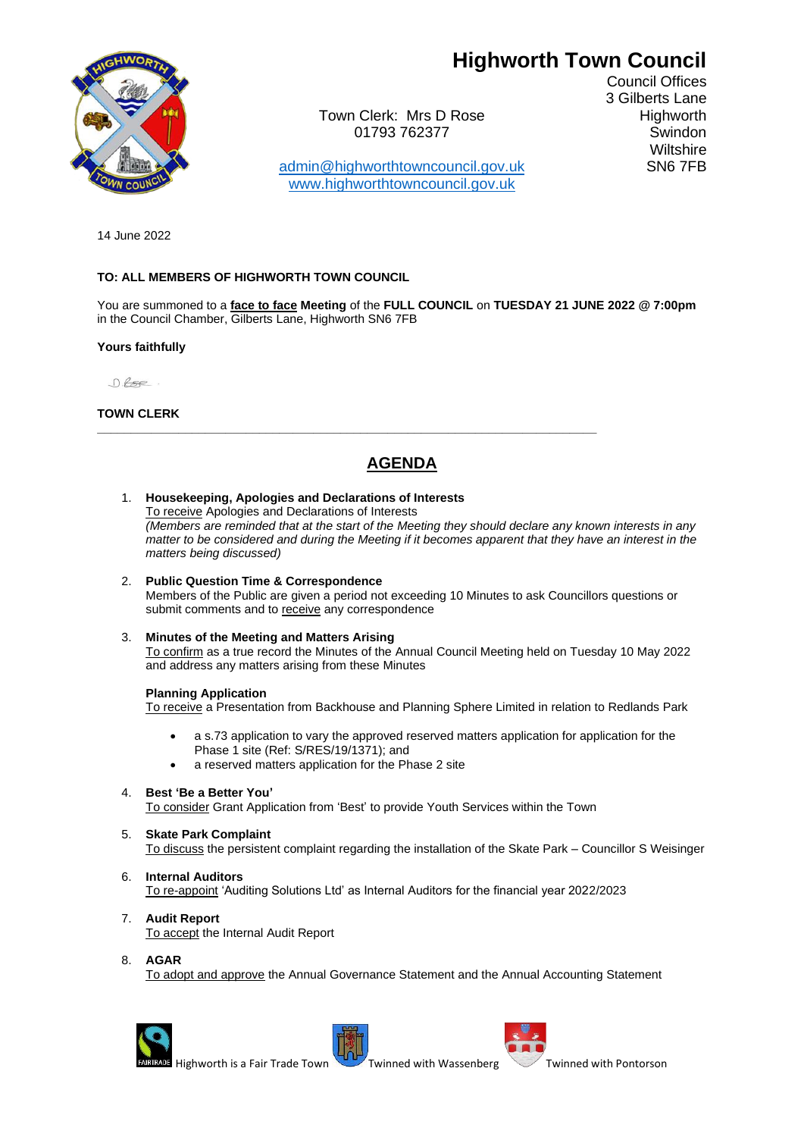# **Highworth Town Council**



Town Clerk: Mrs D Rose **Highworth** 01793 762377 Swindon

Council Offices 3 Gilberts Lane **Wiltshire** 

[admin@highworthtowncouncil.gov.uk](mailto:admin@highworthtowncouncil.gov.uk) SN6 7FB [www.highworthtowncouncil.gov.uk](http://www.highworthtowncouncil.gov.uk/)

14 June 2022

# **TO: ALL MEMBERS OF HIGHWORTH TOWN COUNCIL**

You are summoned to a **face to face Meeting** of the **FULL COUNCIL** on **TUESDAY 21 JUNE 2022 @ 7:00pm** in the Council Chamber, Gilberts Lane, Highworth SN6 7FB

# **Yours faithfully**

 $0.65e$ .

# **TOWN CLERK**

# **AGENDA**

**\_\_\_\_\_\_\_\_\_\_\_\_\_\_\_\_\_\_\_\_\_\_\_\_\_\_\_\_\_\_\_\_\_\_\_\_\_\_\_\_\_\_\_\_\_\_\_\_\_\_\_\_\_\_\_\_\_\_\_\_\_\_\_\_\_\_\_\_\_\_\_\_\_\_**

- 1. **Housekeeping, Apologies and Declarations of Interests** To receive Apologies and Declarations of Interests *(Members are reminded that at the start of the Meeting they should declare any known interests in any matter to be considered and during the Meeting if it becomes apparent that they have an interest in the matters being discussed)*
- 2. **Public Question Time & Correspondence** Members of the Public are given a period not exceeding 10 Minutes to ask Councillors questions or submit comments and to receive any correspondence

# 3. **Minutes of the Meeting and Matters Arising**

To confirm as a true record the Minutes of the Annual Council Meeting held on Tuesday 10 May 2022 and address any matters arising from these Minutes

#### **Planning Application**

To receive a Presentation from Backhouse and Planning Sphere Limited in relation to Redlands Park

- a s.73 application to vary the approved reserved matters application for application for the Phase 1 site (Ref: S/RES/19/1371); and
- a reserved matters application for the Phase 2 site

#### 4. **Best 'Be a Better You'**

To consider Grant Application from 'Best' to provide Youth Services within the Town

#### 5. **Skate Park Complaint**

To discuss the persistent complaint regarding the installation of the Skate Park – Councillor S Weisinger

#### 6. **Internal Auditors**

To re-appoint 'Auditing Solutions Ltd' as Internal Auditors for the financial year 2022/2023

- 7. **Audit Report** To accept the Internal Audit Report
- 8. **AGAR**

To adopt and approve the Annual Governance Statement and the Annual Accounting Statement





Highworth is a Fair [T](http://en.wikipedia.org/wiki/File:Blason_ville_fr_Pontorson_(Manche).svg)rade Town Twinned with Wassenberg Twinned with Pontorson